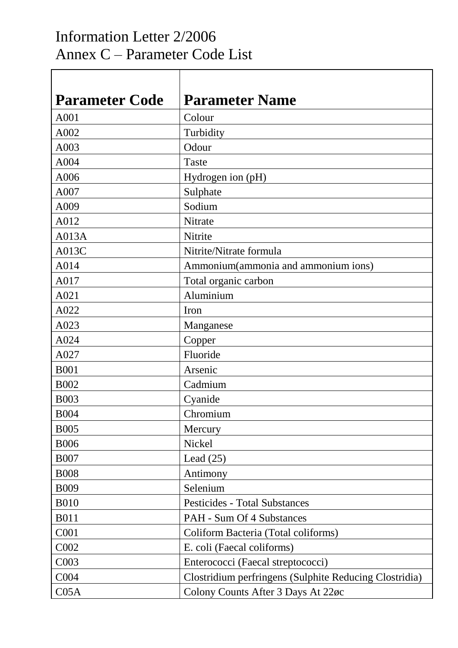## Information Letter 2/2006 Annex C – Parameter Code List

Τ

 $\Gamma$ 

| <b>Parameter Code</b> | <b>Parameter Name</b>                                  |
|-----------------------|--------------------------------------------------------|
| A001                  | Colour                                                 |
| A002                  | Turbidity                                              |
| A003                  | Odour                                                  |
| A004                  | Taste                                                  |
| A006                  | Hydrogen ion (pH)                                      |
| A007                  | Sulphate                                               |
| A009                  | Sodium                                                 |
| A012                  | Nitrate                                                |
| A013A                 | Nitrite                                                |
| A013C                 | Nitrite/Nitrate formula                                |
| A014                  | Ammonium(ammonia and ammonium ions)                    |
| A017                  | Total organic carbon                                   |
| A021                  | Aluminium                                              |
| A022                  | Iron                                                   |
| A023                  | Manganese                                              |
| A024                  | Copper                                                 |
| A027                  | Fluoride                                               |
| <b>B001</b>           | Arsenic                                                |
| <b>B002</b>           | Cadmium                                                |
| <b>B003</b>           | Cyanide                                                |
| <b>B004</b>           | Chromium                                               |
| <b>B005</b>           | Mercury                                                |
| <b>B006</b>           | Nickel                                                 |
| <b>B007</b>           | Lead $(25)$                                            |
| <b>B008</b>           | Antimony                                               |
| <b>B009</b>           | Selenium                                               |
| <b>B010</b>           | <b>Pesticides - Total Substances</b>                   |
| <b>B011</b>           | <b>PAH - Sum Of 4 Substances</b>                       |
| C001                  | Coliform Bacteria (Total coliforms)                    |
| C002                  | E. coli (Faecal coliforms)                             |
| C003                  | Enterococci (Faecal streptococci)                      |
| C004                  | Clostridium perfringens (Sulphite Reducing Clostridia) |
| C <sub>05A</sub>      | Colony Counts After 3 Days At 22øc                     |

٦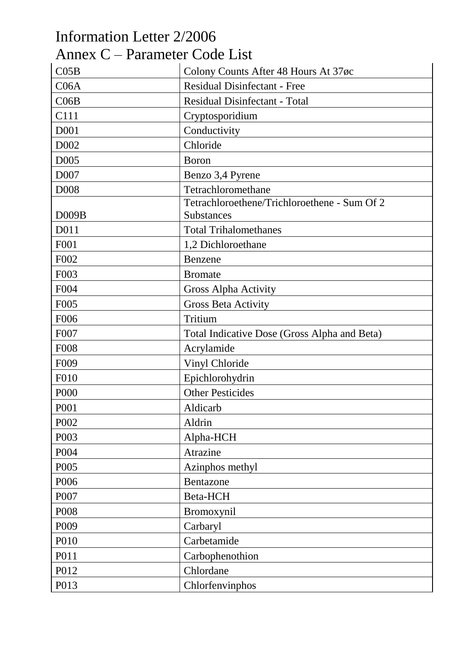| Information Letter 2/2006     |                                              |
|-------------------------------|----------------------------------------------|
| Annex C – Parameter Code List |                                              |
| CO5B                          | Colony Counts After 48 Hours At 37øc         |
| C06A                          | <b>Residual Disinfectant - Free</b>          |
| CO6B                          | <b>Residual Disinfectant - Total</b>         |
| C111                          | Cryptosporidium                              |
| D001                          | Conductivity                                 |
| D <sub>002</sub>              | Chloride                                     |
| D <sub>005</sub>              | <b>Boron</b>                                 |
| D <sub>007</sub>              | Benzo 3,4 Pyrene                             |
| <b>D008</b>                   | Tetrachloromethane                           |
|                               | Tetrachloroethene/Trichloroethene - Sum Of 2 |
| D009B                         | Substances                                   |
| D011                          | <b>Total Trihalomethanes</b>                 |
| F001                          | 1,2 Dichloroethane                           |
| F002                          | Benzene                                      |
| F003                          | <b>Bromate</b>                               |
| F004                          | Gross Alpha Activity                         |
| F <sub>005</sub>              | <b>Gross Beta Activity</b>                   |
| F006                          | Tritium                                      |
| F007                          | Total Indicative Dose (Gross Alpha and Beta) |
| <b>F008</b>                   | Acrylamide                                   |
| F <sub>009</sub>              | Vinyl Chloride                               |
| <b>F010</b>                   | Epichlorohydrin                              |
| P000                          | <b>Other Pesticides</b>                      |
| P001                          | Aldicarb                                     |
| P002                          | Aldrin                                       |
| P003                          | Alpha-HCH                                    |
| P004                          | Atrazine                                     |
| P005                          | Azinphos methyl                              |
| P006                          | Bentazone                                    |
| P007                          | Beta-HCH                                     |
| P008                          | Bromoxynil                                   |
| P009                          | Carbaryl                                     |
| P010                          | Carbetamide                                  |
| P011                          | Carbophenothion                              |
| P012                          | Chlordane                                    |
| P013                          | Chlorfenvinphos                              |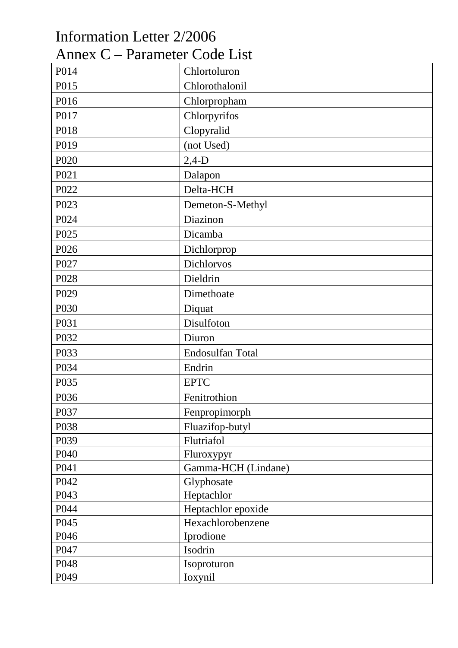| Information Letter 2/2006     |                     |
|-------------------------------|---------------------|
| Annex C – Parameter Code List |                     |
| P014                          | Chlortoluron        |
| P015                          | Chlorothalonil      |
| P016                          | Chlorpropham        |
| P017                          | Chlorpyrifos        |
| P018                          | Clopyralid          |
| P019                          | (not Used)          |
| P <sub>020</sub>              | $2,4-D$             |
| P021                          | Dalapon             |
| P022                          | Delta-HCH           |
| P023                          | Demeton-S-Methyl    |
| P024                          | Diazinon            |
| P025                          | Dicamba             |
| P026                          | Dichlorprop         |
| P027                          | Dichlorvos          |
| P <sub>028</sub>              | Dieldrin            |
| P <sub>029</sub>              | Dimethoate          |
| P030                          | Diquat              |
| P031                          | Disulfoton          |
| P032                          | Diuron              |
| P033                          | Endosulfan Total    |
| P034                          | Endrin              |
| P035                          | <b>EPTC</b>         |
| P036                          | Fenitrothion        |
| P037                          | Fenpropimorph       |
| P038                          | Fluazifop-butyl     |
| P039                          | Flutriafol          |
| P040                          | Fluroxypyr          |
| P041                          | Gamma-HCH (Lindane) |
| P042                          | Glyphosate          |
| P043                          | Heptachlor          |
| P044                          | Heptachlor epoxide  |
| P045                          | Hexachlorobenzene   |
| P046                          | Iprodione           |
| P047                          | Isodrin             |
| P048                          | Isoproturon         |
| P049                          | Ioxynil             |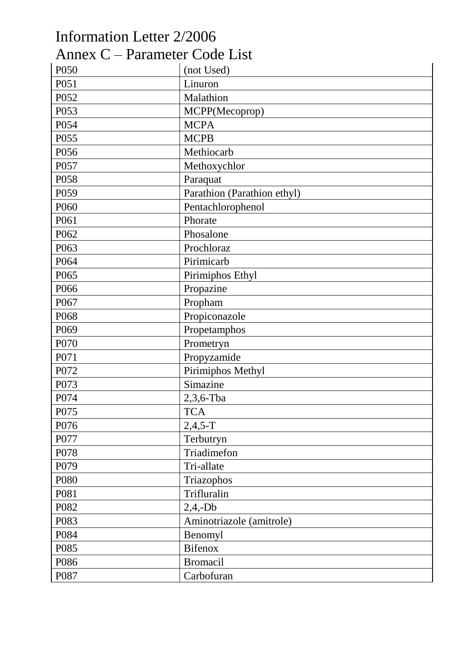## Information Letter 2/2006 Annex C – Parameter Code List

| P050             | (not Used)                  |
|------------------|-----------------------------|
| P051             | Linuron                     |
| P052             | Malathion                   |
| P053             | MCPP(Mecoprop)              |
| P054             | <b>MCPA</b>                 |
| P055             | <b>MCPB</b>                 |
| P056             | Methiocarb                  |
| P057             | Methoxychlor                |
| P058             | Paraquat                    |
| P059             | Parathion (Parathion ethyl) |
| P060             | Pentachlorophenol           |
| P061             | Phorate                     |
| P062             | Phosalone                   |
| P063             | Prochloraz                  |
| P064             | Pirimicarb                  |
| P065             | Pirimiphos Ethyl            |
| P066             | Propazine                   |
| P067             | Propham                     |
| P068             | Propiconazole               |
| P069             | Propetamphos                |
| P070             | Prometryn                   |
| P071             | Propyzamide                 |
| P072             | Pirimiphos Methyl           |
| P073             | Simazine                    |
| P074             | $2,3,6$ -Tba                |
| P <sub>075</sub> | <b>TCA</b>                  |
| P076             | $2,4,5-T$                   |
| P077             | Terbutryn                   |
| P078             | Triadimefon                 |
| P079             | Tri-allate                  |
| P080             | Triazophos                  |
| P081             | Trifluralin                 |
| P082             | $2,4,-Db$                   |
| P083             | Aminotriazole (amitrole)    |
| P084             | Benomyl                     |
| P085             | <b>Bifenox</b>              |
| P086             | <b>Bromacil</b>             |
| P087             | Carbofuran                  |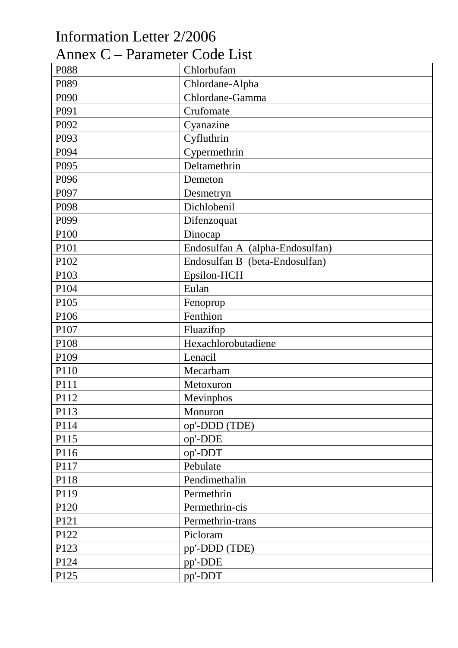| Information Letter 2/2006     |                                 |
|-------------------------------|---------------------------------|
| Annex C – Parameter Code List |                                 |
| P088                          | Chlorbufam                      |
| P089                          | Chlordane-Alpha                 |
| P090                          | Chlordane-Gamma                 |
| P091                          | Crufomate                       |
| P092                          | Cyanazine                       |
| P093                          | Cyfluthrin                      |
| P094                          | Cypermethrin                    |
| P095                          | Deltamethrin                    |
| P096                          | Demeton                         |
| P097                          | Desmetryn                       |
| P098                          | Dichlobenil                     |
| P099                          | Difenzoquat                     |
| P100                          | Dinocap                         |
| P101                          | Endosulfan A (alpha-Endosulfan) |
| P102                          | Endosulfan B (beta-Endosulfan)  |
| P103                          | Epsilon-HCH                     |
| P104                          | Eulan                           |
| P105                          | Fenoprop                        |
| P106                          | Fenthion                        |
| P107                          | Fluazifop                       |
| P108                          | Hexachlorobutadiene             |
| P109                          | Lenacil                         |
| P110                          | Mecarbam                        |
| P111                          | Metoxuron                       |
| P112                          | Mevinphos                       |
| P113                          | Monuron                         |
| P114                          | op'-DDD (TDE)                   |
| P115                          | op'-DDE                         |
| P116                          | op'-DDT                         |
| P117                          | Pebulate                        |
| P118                          | Pendimethalin                   |
| P119                          | Permethrin                      |
| P120                          | Permethrin-cis                  |
| P121                          | Permethrin-trans                |
| P122                          | Picloram                        |
| P123                          | pp'-DDD (TDE)                   |
| P124                          | pp'-DDE                         |
| P125                          | pp'-DDT                         |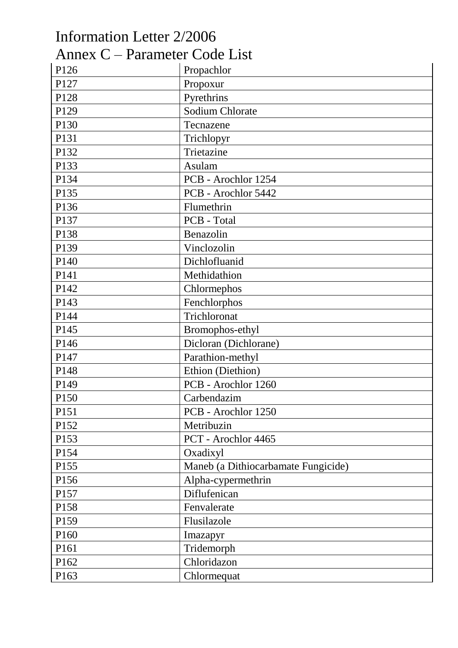| Information Letter 2/2006     |                                     |
|-------------------------------|-------------------------------------|
| Annex C – Parameter Code List |                                     |
| P126                          | Propachlor                          |
| P127                          | Propoxur                            |
| P128                          | Pyrethrins                          |
| P129                          | Sodium Chlorate                     |
| P130                          | Tecnazene                           |
| P131                          | Trichlopyr                          |
| P132                          | Trietazine                          |
| P133                          | Asulam                              |
| P134                          | PCB - Arochlor 1254                 |
| P135                          | PCB - Arochlor 5442                 |
| P136                          | Flumethrin                          |
| P137                          | PCB - Total                         |
| P138                          | Benazolin                           |
| P139                          | Vinclozolin                         |
| P140                          | Dichlofluanid                       |
| P <sub>141</sub>              | Methidathion                        |
| P142                          | Chlormephos                         |
| P143                          | Fenchlorphos                        |
| P144                          | Trichloronat                        |
| P145                          | Bromophos-ethyl                     |
| P146                          | Dicloran (Dichlorane)               |
| P147                          | Parathion-methyl                    |
| P <sub>148</sub>              | Ethion (Diethion)                   |
| P149                          | PCB - Arochlor 1260                 |
| P150                          | Carbendazim                         |
| P151                          | PCB - Arochlor 1250                 |
| P152                          | Metribuzin                          |
| P153                          | PCT - Arochlor 4465                 |
| P154                          | Oxadixyl                            |
| P155                          | Maneb (a Dithiocarbamate Fungicide) |
| P156                          | Alpha-cypermethrin                  |
| P <sub>157</sub>              | Diflufenican                        |
| P158                          | Fenvalerate                         |
| P159                          | Flusilazole                         |
| P160                          | Imazapyr                            |
| P <sub>161</sub>              | Tridemorph                          |
| P162                          | Chloridazon                         |
| P163                          | Chlormequat                         |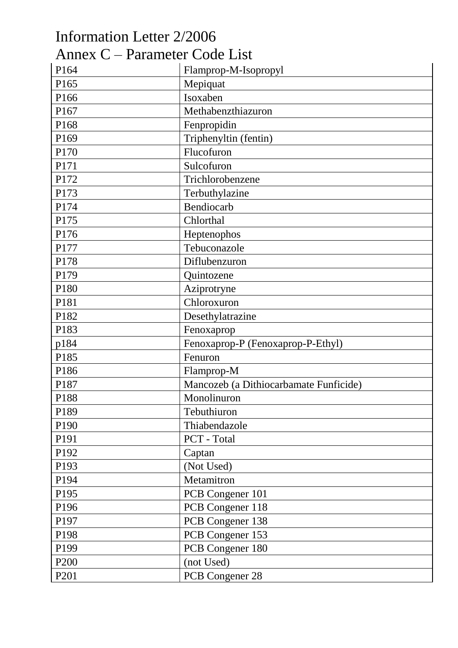| Information Letter 2/2006     |                                        |
|-------------------------------|----------------------------------------|
| Annex C – Parameter Code List |                                        |
| P164                          | Flamprop-M-Isopropyl                   |
| P165                          | Mepiquat                               |
| P166                          | Isoxaben                               |
| P167                          | Methabenzthiazuron                     |
| P168                          | Fenpropidin                            |
| P169                          | Triphenyltin (fentin)                  |
| P170                          | Flucofuron                             |
| P171                          | Sulcofuron                             |
| P172                          | Trichlorobenzene                       |
| P173                          | Terbuthylazine                         |
| P174                          | Bendiocarb                             |
| P175                          | Chlorthal                              |
| P176                          | Heptenophos                            |
| P177                          | Tebuconazole                           |
| P178                          | Diflubenzuron                          |
| P179                          | Quintozene                             |
| P180                          | Aziprotryne                            |
| P181                          | Chloroxuron                            |
| P182                          | Desethylatrazine                       |
| P183                          | Fenoxaprop                             |
| p184                          | Fenoxaprop-P (Fenoxaprop-P-Ethyl)      |
| P185                          | Fenuron                                |
| P186                          | Flamprop-M                             |
| P187                          | Mancozeb (a Dithiocarbamate Funficide) |
| P188                          | Monolinuron                            |
| P189                          | Tebuthiuron                            |
| P190                          | Thiabendazole                          |
| P191                          | PCT - Total                            |
| P192                          | Captan                                 |
| P193                          | (Not Used)                             |
| P194                          | Metamitron                             |
| P195                          | PCB Congener 101                       |
| P196                          | PCB Congener 118                       |
| P197                          | PCB Congener 138                       |
| P198                          | PCB Congener 153                       |
| P199                          | PCB Congener 180                       |
| P <sub>200</sub>              | (not Used)                             |
| P <sub>201</sub>              | PCB Congener 28                        |